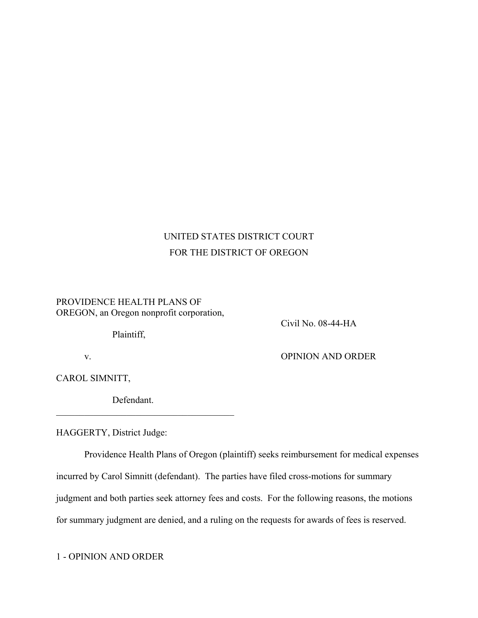# UNITED STATES DISTRICT COURT FOR THE DISTRICT OF OREGON

## PROVIDENCE HEALTH PLANS OF OREGON, an Oregon nonprofit corporation,

Plaintiff,

Civil No. 08-44-HA

v. OPINION AND ORDER

CAROL SIMNITT,

Defendant.

 $\mathcal{L}_\text{max}$ 

HAGGERTY, District Judge:

Providence Health Plans of Oregon (plaintiff) seeks reimbursement for medical expenses incurred by Carol Simnitt (defendant). The parties have filed cross-motions for summary judgment and both parties seek attorney fees and costs. For the following reasons, the motions for summary judgment are denied, and a ruling on the requests for awards of fees is reserved.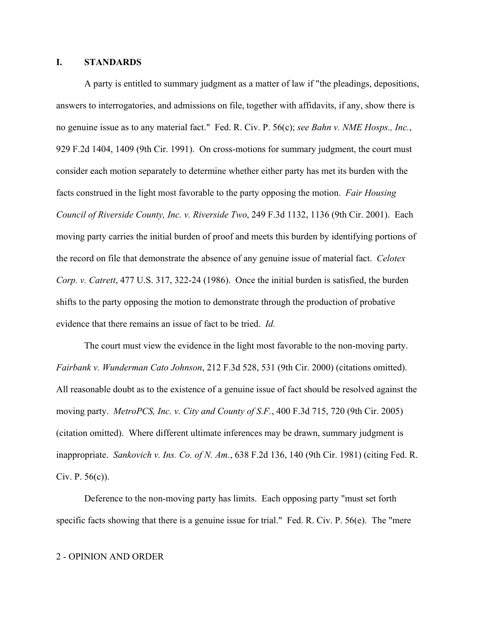## **I. STANDARDS**

A party is entitled to summary judgment as a matter of law if "the pleadings, depositions, answers to interrogatories, and admissions on file, together with affidavits, if any, show there is no genuine issue as to any material fact." Fed. R. Civ. P. 56(c); *see Bahn v. NME Hosps., Inc.*, 929 F.2d 1404, 1409 (9th Cir. 1991). On cross-motions for summary judgment, the court must consider each motion separately to determine whether either party has met its burden with the facts construed in the light most favorable to the party opposing the motion. *Fair Housing Council of Riverside County, Inc. v. Riverside Two*, 249 F.3d 1132, 1136 (9th Cir. 2001). Each moving party carries the initial burden of proof and meets this burden by identifying portions of the record on file that demonstrate the absence of any genuine issue of material fact. *Celotex Corp. v. Catrett*, 477 U.S. 317, 322-24 (1986). Once the initial burden is satisfied, the burden shifts to the party opposing the motion to demonstrate through the production of probative evidence that there remains an issue of fact to be tried. *Id.* 

The court must view the evidence in the light most favorable to the non-moving party. *Fairbank v. Wunderman Cato Johnson*, 212 F.3d 528, 531 (9th Cir. 2000) (citations omitted). All reasonable doubt as to the existence of a genuine issue of fact should be resolved against the moving party. *MetroPCS, Inc. v. City and County of S.F.*, 400 F.3d 715, 720 (9th Cir. 2005) (citation omitted). Where different ultimate inferences may be drawn, summary judgment is inappropriate. *Sankovich v. Ins. Co. of N. Am.*, 638 F.2d 136, 140 (9th Cir. 1981) (citing Fed. R. Civ. P. 56(c)).

Deference to the non-moving party has limits. Each opposing party "must set forth specific facts showing that there is a genuine issue for trial." Fed. R. Civ. P. 56(e). The "mere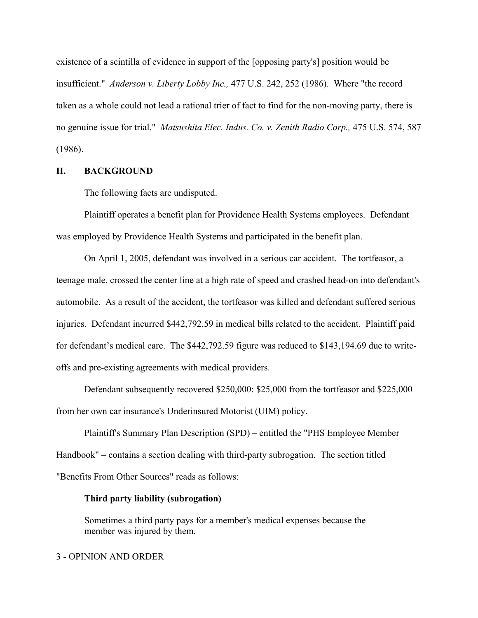existence of a scintilla of evidence in support of the [opposing party's] position would be insufficient." *Anderson v. Liberty Lobby Inc.,* 477 U.S. 242, 252 (1986). Where "the record taken as a whole could not lead a rational trier of fact to find for the non-moving party, there is no genuine issue for trial." *Matsushita Elec. Indus. Co. v. Zenith Radio Corp.,* 475 U.S. 574, 587 (1986).

## **II. BACKGROUND**

The following facts are undisputed.

Plaintiff operates a benefit plan for Providence Health Systems employees. Defendant was employed by Providence Health Systems and participated in the benefit plan.

On April 1, 2005, defendant was involved in a serious car accident. The tortfeasor, a teenage male, crossed the center line at a high rate of speed and crashed head-on into defendant's automobile. As a result of the accident, the tortfeasor was killed and defendant suffered serious injuries. Defendant incurred \$442,792.59 in medical bills related to the accident. Plaintiff paid for defendant's medical care. The \$442,792.59 figure was reduced to \$143,194.69 due to writeoffs and pre-existing agreements with medical providers.

Defendant subsequently recovered \$250,000: \$25,000 from the tortfeasor and \$225,000 from her own car insurance's Underinsured Motorist (UIM) policy.

Plaintiff's Summary Plan Description (SPD) – entitled the "PHS Employee Member Handbook" – contains a section dealing with third-party subrogation. The section titled "Benefits From Other Sources" reads as follows:

### **Third party liability (subrogation)**

Sometimes a third party pays for a member's medical expenses because the member was injured by them.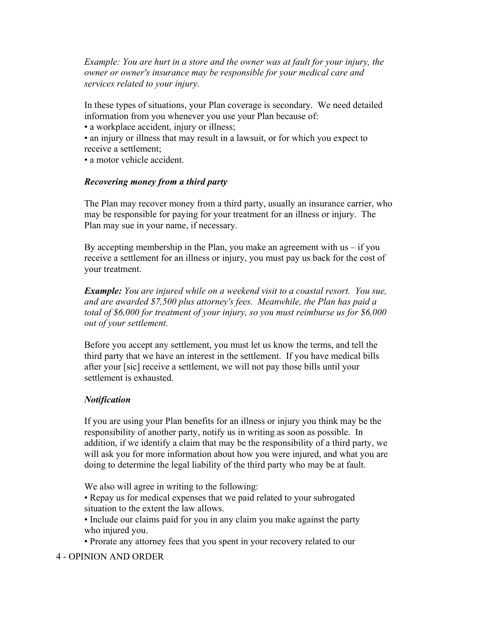*Example: You are hurt in a store and the owner was at fault for your injury, the owner or owner's insurance may be responsible for your medical care and services related to your injury.*

In these types of situations, your Plan coverage is secondary. We need detailed information from you whenever you use your Plan because of:

- a workplace accident, injury or illness;
- an injury or illness that may result in a lawsuit, or for which you expect to receive a settlement;
- a motor vehicle accident.

## *Recovering money from a third party*

The Plan may recover money from a third party, usually an insurance carrier, who may be responsible for paying for your treatment for an illness or injury. The Plan may sue in your name, if necessary.

By accepting membership in the Plan, you make an agreement with  $us - if$  you receive a settlement for an illness or injury, you must pay us back for the cost of your treatment.

*Example: You are injured while on a weekend visit to a coastal resort. You sue, and are awarded \$7,500 plus attorney's fees. Meanwhile, the Plan has paid a total of \$6,000 for treatment of your injury, so you must reimburse us for \$6,000 out of your settlement.*

Before you accept any settlement, you must let us know the terms, and tell the third party that we have an interest in the settlement. If you have medical bills after your [sic] receive a settlement, we will not pay those bills until your settlement is exhausted.

## *Notification*

If you are using your Plan benefits for an illness or injury you think may be the responsibility of another party, notify us in writing as soon as possible. In addition, if we identify a claim that may be the responsibility of a third party, we will ask you for more information about how you were injured, and what you are doing to determine the legal liability of the third party who may be at fault.

We also will agree in writing to the following:

- Repay us for medical expenses that we paid related to your subrogated situation to the extent the law allows.
- Include our claims paid for you in any claim you make against the party who injured you.
- Prorate any attorney fees that you spent in your recovery related to our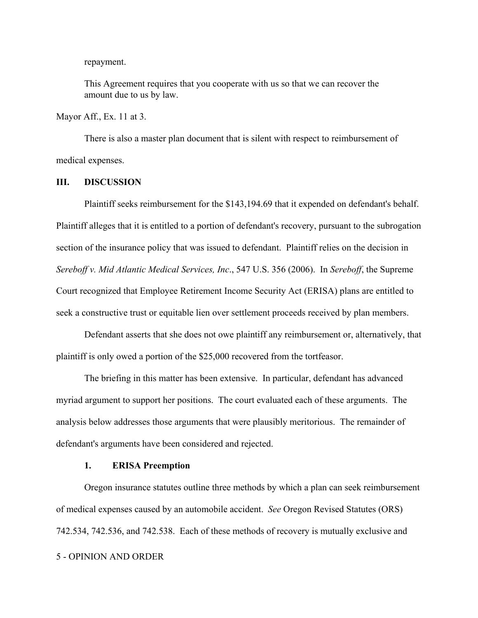repayment.

This Agreement requires that you cooperate with us so that we can recover the amount due to us by law.

Mayor Aff., Ex. 11 at 3.

There is also a master plan document that is silent with respect to reimbursement of medical expenses.

### **III. DISCUSSION**

Plaintiff seeks reimbursement for the \$143,194.69 that it expended on defendant's behalf. Plaintiff alleges that it is entitled to a portion of defendant's recovery, pursuant to the subrogation section of the insurance policy that was issued to defendant. Plaintiff relies on the decision in *Sereboff v. Mid Atlantic Medical Services, Inc*., 547 U.S. 356 (2006). In *Sereboff*, the Supreme Court recognized that Employee Retirement Income Security Act (ERISA) plans are entitled to seek a constructive trust or equitable lien over settlement proceeds received by plan members.

Defendant asserts that she does not owe plaintiff any reimbursement or, alternatively, that plaintiff is only owed a portion of the \$25,000 recovered from the tortfeasor.

 The briefing in this matter has been extensive. In particular, defendant has advanced myriad argument to support her positions. The court evaluated each of these arguments. The analysis below addresses those arguments that were plausibly meritorious. The remainder of defendant's arguments have been considered and rejected.

## **1. ERISA Preemption**

Oregon insurance statutes outline three methods by which a plan can seek reimbursement of medical expenses caused by an automobile accident. *See* Oregon Revised Statutes (ORS) 742.534, 742.536, and 742.538. Each of these methods of recovery is mutually exclusive and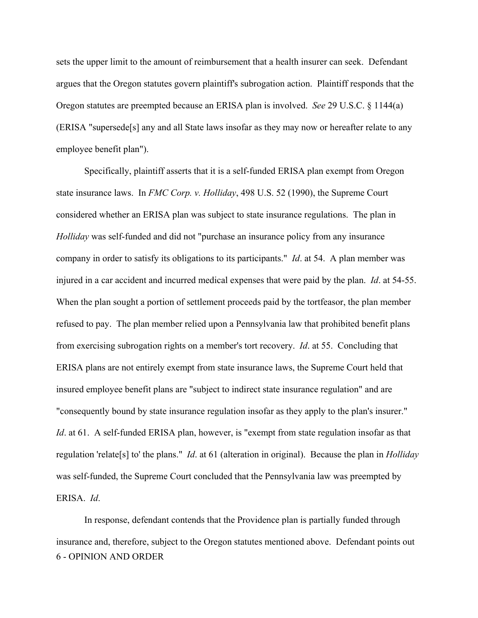sets the upper limit to the amount of reimbursement that a health insurer can seek. Defendant argues that the Oregon statutes govern plaintiff's subrogation action. Plaintiff responds that the Oregon statutes are preempted because an ERISA plan is involved. *See* 29 U.S.C. § 1144(a) (ERISA "supersede[s] any and all State laws insofar as they may now or hereafter relate to any employee benefit plan").

Specifically, plaintiff asserts that it is a self-funded ERISA plan exempt from Oregon state insurance laws. In *FMC Corp. v. Holliday*, 498 U.S. 52 (1990), the Supreme Court considered whether an ERISA plan was subject to state insurance regulations. The plan in *Holliday* was self-funded and did not "purchase an insurance policy from any insurance company in order to satisfy its obligations to its participants." *Id*. at 54. A plan member was injured in a car accident and incurred medical expenses that were paid by the plan. *Id*. at 54-55. When the plan sought a portion of settlement proceeds paid by the tortfeasor, the plan member refused to pay. The plan member relied upon a Pennsylvania law that prohibited benefit plans from exercising subrogation rights on a member's tort recovery. *Id*. at 55. Concluding that ERISA plans are not entirely exempt from state insurance laws, the Supreme Court held that insured employee benefit plans are "subject to indirect state insurance regulation" and are "consequently bound by state insurance regulation insofar as they apply to the plan's insurer." *Id.* at 61. A self-funded ERISA plan, however, is "exempt from state regulation insofar as that regulation 'relate[s] to' the plans." *Id*. at 61 (alteration in original). Because the plan in *Holliday* was self-funded, the Supreme Court concluded that the Pennsylvania law was preempted by ERISA. *Id*.

6 - OPINION AND ORDER In response, defendant contends that the Providence plan is partially funded through insurance and, therefore, subject to the Oregon statutes mentioned above. Defendant points out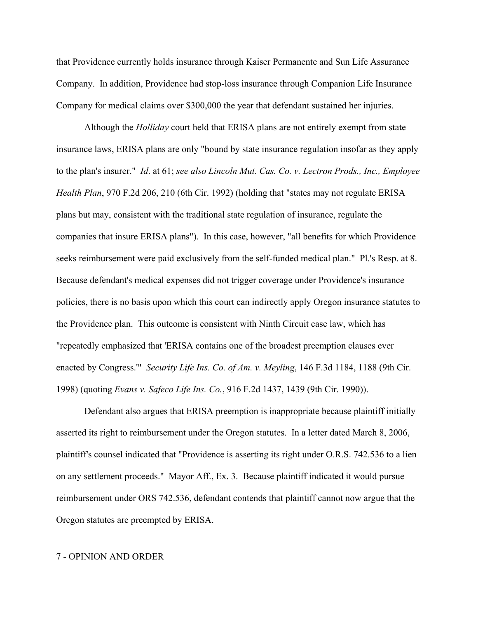that Providence currently holds insurance through Kaiser Permanente and Sun Life Assurance Company. In addition, Providence had stop-loss insurance through Companion Life Insurance Company for medical claims over \$300,000 the year that defendant sustained her injuries.

Although the *Holliday* court held that ERISA plans are not entirely exempt from state insurance laws, ERISA plans are only "bound by state insurance regulation insofar as they apply to the plan's insurer." *Id*. at 61; *see also Lincoln Mut. Cas. Co. v. Lectron Prods., Inc., Employee Health Plan*, 970 F.2d 206, 210 (6th Cir. 1992) (holding that "states may not regulate ERISA plans but may, consistent with the traditional state regulation of insurance, regulate the companies that insure ERISA plans"). In this case, however, "all benefits for which Providence seeks reimbursement were paid exclusively from the self-funded medical plan." Pl.'s Resp. at 8. Because defendant's medical expenses did not trigger coverage under Providence's insurance policies, there is no basis upon which this court can indirectly apply Oregon insurance statutes to the Providence plan. This outcome is consistent with Ninth Circuit case law, which has "repeatedly emphasized that 'ERISA contains one of the broadest preemption clauses ever enacted by Congress.'" *Security Life Ins. Co. of Am. v. Meyling*, 146 F.3d 1184, 1188 (9th Cir. 1998) (quoting *Evans v. Safeco Life Ins. Co.*, 916 F.2d 1437, 1439 (9th Cir. 1990)).

Defendant also argues that ERISA preemption is inappropriate because plaintiff initially asserted its right to reimbursement under the Oregon statutes. In a letter dated March 8, 2006, plaintiff's counsel indicated that "Providence is asserting its right under O.R.S. 742.536 to a lien on any settlement proceeds." Mayor Aff., Ex. 3. Because plaintiff indicated it would pursue reimbursement under ORS 742.536, defendant contends that plaintiff cannot now argue that the Oregon statutes are preempted by ERISA.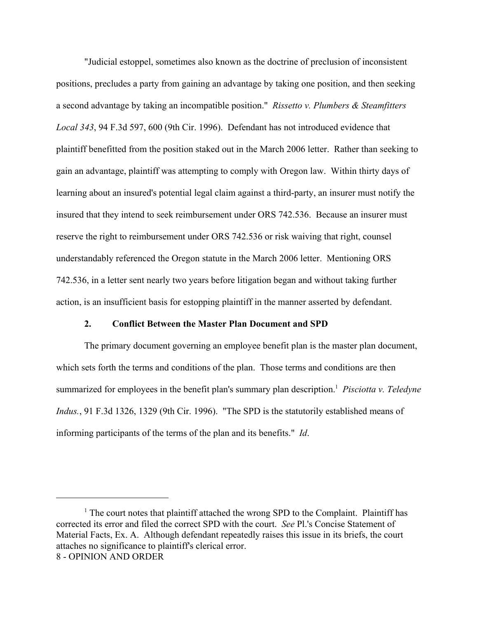"Judicial estoppel, sometimes also known as the doctrine of preclusion of inconsistent positions, precludes a party from gaining an advantage by taking one position, and then seeking a second advantage by taking an incompatible position." *Rissetto v. Plumbers & Steamfitters Local 343*, 94 F.3d 597, 600 (9th Cir. 1996). Defendant has not introduced evidence that plaintiff benefitted from the position staked out in the March 2006 letter. Rather than seeking to gain an advantage, plaintiff was attempting to comply with Oregon law. Within thirty days of learning about an insured's potential legal claim against a third-party, an insurer must notify the insured that they intend to seek reimbursement under ORS 742.536. Because an insurer must reserve the right to reimbursement under ORS 742.536 or risk waiving that right, counsel understandably referenced the Oregon statute in the March 2006 letter. Mentioning ORS 742.536, in a letter sent nearly two years before litigation began and without taking further action, is an insufficient basis for estopping plaintiff in the manner asserted by defendant.

## **2. Conflict Between the Master Plan Document and SPD**

The primary document governing an employee benefit plan is the master plan document, which sets forth the terms and conditions of the plan. Those terms and conditions are then summarized for employees in the benefit plan's summary plan description.<sup>1</sup> Pisciotta v. Teledyne *Indus.*, 91 F.3d 1326, 1329 (9th Cir. 1996). "The SPD is the statutorily established means of informing participants of the terms of the plan and its benefits." *Id*.

<sup>&</sup>lt;sup>1</sup> The court notes that plaintiff attached the wrong SPD to the Complaint. Plaintiff has corrected its error and filed the correct SPD with the court. *See* Pl.'s Concise Statement of Material Facts, Ex. A. Although defendant repeatedly raises this issue in its briefs, the court attaches no significance to plaintiff's clerical error. 8 - OPINION AND ORDER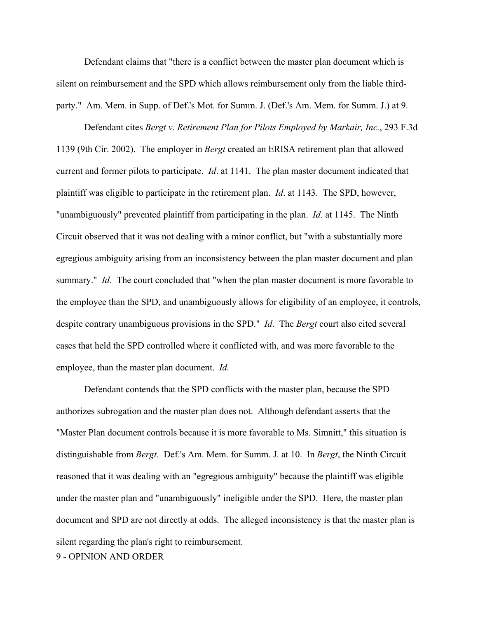Defendant claims that "there is a conflict between the master plan document which is silent on reimbursement and the SPD which allows reimbursement only from the liable thirdparty." Am. Mem. in Supp. of Def.'s Mot. for Summ. J. (Def.'s Am. Mem. for Summ. J.) at 9.

Defendant cites *Bergt v. Retirement Plan for Pilots Employed by Markair, Inc.*, 293 F.3d 1139 (9th Cir. 2002). The employer in *Bergt* created an ERISA retirement plan that allowed current and former pilots to participate. *Id*. at 1141. The plan master document indicated that plaintiff was eligible to participate in the retirement plan. *Id*. at 1143. The SPD, however, "unambiguously" prevented plaintiff from participating in the plan. *Id*. at 1145. The Ninth Circuit observed that it was not dealing with a minor conflict, but "with a substantially more egregious ambiguity arising from an inconsistency between the plan master document and plan summary." *Id*. The court concluded that "when the plan master document is more favorable to the employee than the SPD, and unambiguously allows for eligibility of an employee, it controls, despite contrary unambiguous provisions in the SPD." *Id*. The *Bergt* court also cited several cases that held the SPD controlled where it conflicted with, and was more favorable to the employee, than the master plan document. *Id.*

9 - OPINION AND ORDER Defendant contends that the SPD conflicts with the master plan, because the SPD authorizes subrogation and the master plan does not. Although defendant asserts that the "Master Plan document controls because it is more favorable to Ms. Simnitt," this situation is distinguishable from *Bergt*. Def.'s Am. Mem. for Summ. J. at 10. In *Bergt*, the Ninth Circuit reasoned that it was dealing with an "egregious ambiguity" because the plaintiff was eligible under the master plan and "unambiguously" ineligible under the SPD. Here, the master plan document and SPD are not directly at odds. The alleged inconsistency is that the master plan is silent regarding the plan's right to reimbursement.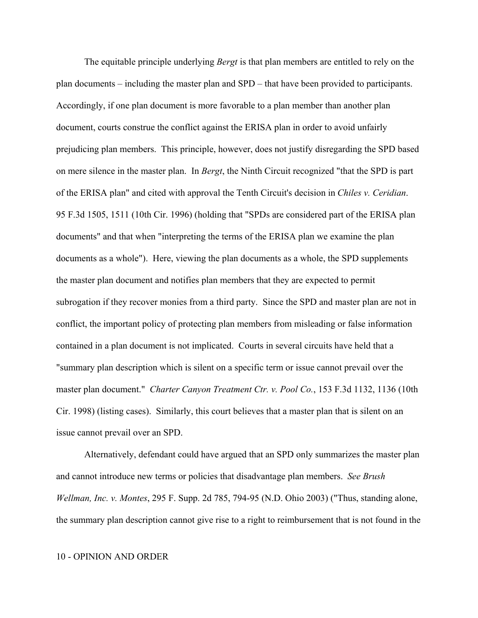The equitable principle underlying *Bergt* is that plan members are entitled to rely on the plan documents – including the master plan and SPD – that have been provided to participants. Accordingly, if one plan document is more favorable to a plan member than another plan document, courts construe the conflict against the ERISA plan in order to avoid unfairly prejudicing plan members. This principle, however, does not justify disregarding the SPD based on mere silence in the master plan. In *Bergt*, the Ninth Circuit recognized "that the SPD is part of the ERISA plan" and cited with approval the Tenth Circuit's decision in *Chiles v. Ceridian*. 95 F.3d 1505, 1511 (10th Cir. 1996) (holding that "SPDs are considered part of the ERISA plan documents" and that when "interpreting the terms of the ERISA plan we examine the plan documents as a whole"). Here, viewing the plan documents as a whole, the SPD supplements the master plan document and notifies plan members that they are expected to permit subrogation if they recover monies from a third party. Since the SPD and master plan are not in conflict, the important policy of protecting plan members from misleading or false information contained in a plan document is not implicated. Courts in several circuits have held that a "summary plan description which is silent on a specific term or issue cannot prevail over the master plan document." *Charter Canyon Treatment Ctr. v. Pool Co.*, 153 F.3d 1132, 1136 (10th Cir. 1998) (listing cases). Similarly, this court believes that a master plan that is silent on an issue cannot prevail over an SPD.

Alternatively, defendant could have argued that an SPD only summarizes the master plan and cannot introduce new terms or policies that disadvantage plan members. *See Brush Wellman, Inc. v. Montes*, 295 F. Supp. 2d 785, 794-95 (N.D. Ohio 2003) ("Thus, standing alone, the summary plan description cannot give rise to a right to reimbursement that is not found in the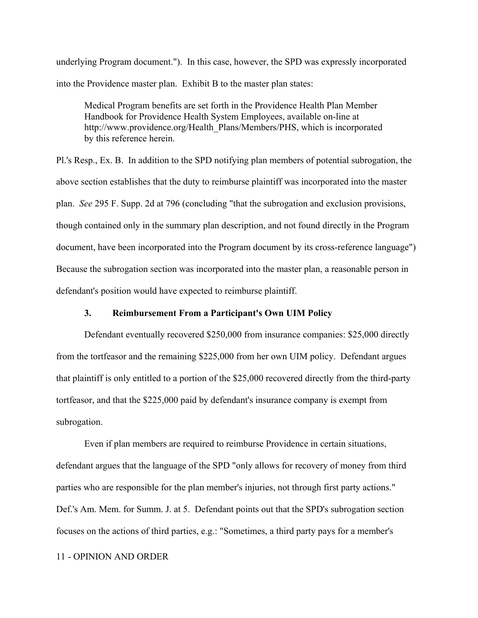underlying Program document."). In this case, however, the SPD was expressly incorporated into the Providence master plan. Exhibit B to the master plan states:

Medical Program benefits are set forth in the Providence Health Plan Member Handbook for Providence Health System Employees, available on-line at http://www.providence.org/Health\_Plans/Members/PHS, which is incorporated by this reference herein.

Pl.'s Resp., Ex. B. In addition to the SPD notifying plan members of potential subrogation, the above section establishes that the duty to reimburse plaintiff was incorporated into the master plan. *See* 295 F. Supp. 2d at 796 (concluding "that the subrogation and exclusion provisions, though contained only in the summary plan description, and not found directly in the Program document, have been incorporated into the Program document by its cross-reference language") Because the subrogation section was incorporated into the master plan, a reasonable person in defendant's position would have expected to reimburse plaintiff.

## **3. Reimbursement From a Participant's Own UIM Policy**

Defendant eventually recovered \$250,000 from insurance companies: \$25,000 directly from the tortfeasor and the remaining \$225,000 from her own UIM policy. Defendant argues that plaintiff is only entitled to a portion of the \$25,000 recovered directly from the third-party tortfeasor, and that the \$225,000 paid by defendant's insurance company is exempt from subrogation.

Even if plan members are required to reimburse Providence in certain situations, defendant argues that the language of the SPD "only allows for recovery of money from third parties who are responsible for the plan member's injuries, not through first party actions." Def.'s Am. Mem. for Summ. J. at 5. Defendant points out that the SPD's subrogation section focuses on the actions of third parties, e.g.: "Sometimes, a third party pays for a member's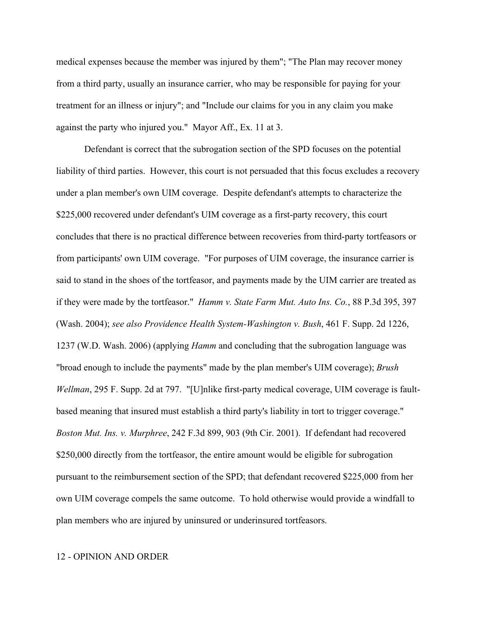medical expenses because the member was injured by them"; "The Plan may recover money from a third party, usually an insurance carrier, who may be responsible for paying for your treatment for an illness or injury"; and "Include our claims for you in any claim you make against the party who injured you." Mayor Aff., Ex. 11 at 3.

Defendant is correct that the subrogation section of the SPD focuses on the potential liability of third parties. However, this court is not persuaded that this focus excludes a recovery under a plan member's own UIM coverage. Despite defendant's attempts to characterize the \$225,000 recovered under defendant's UIM coverage as a first-party recovery, this court concludes that there is no practical difference between recoveries from third-party tortfeasors or from participants' own UIM coverage. "For purposes of UIM coverage, the insurance carrier is said to stand in the shoes of the tortfeasor, and payments made by the UIM carrier are treated as if they were made by the tortfeasor."*Hamm v. State Farm Mut. Auto Ins. Co.*, 88 P.3d 395, 397 (Wash. 2004); *see also Providence Health System-Washington v. Bush*, 461 F. Supp. 2d 1226, 1237 (W.D. Wash. 2006) (applying *Hamm* and concluding that the subrogation language was "broad enough to include the payments" made by the plan member's UIM coverage); *Brush Wellman*, 295 F. Supp. 2d at 797. "[U]nlike first-party medical coverage, UIM coverage is faultbased meaning that insured must establish a third party's liability in tort to trigger coverage." *Boston Mut. Ins. v. Murphree*, 242 F.3d 899, 903 (9th Cir. 2001). If defendant had recovered \$250,000 directly from the tortfeasor, the entire amount would be eligible for subrogation pursuant to the reimbursement section of the SPD; that defendant recovered \$225,000 from her own UIM coverage compels the same outcome. To hold otherwise would provide a windfall to plan members who are injured by uninsured or underinsured tortfeasors.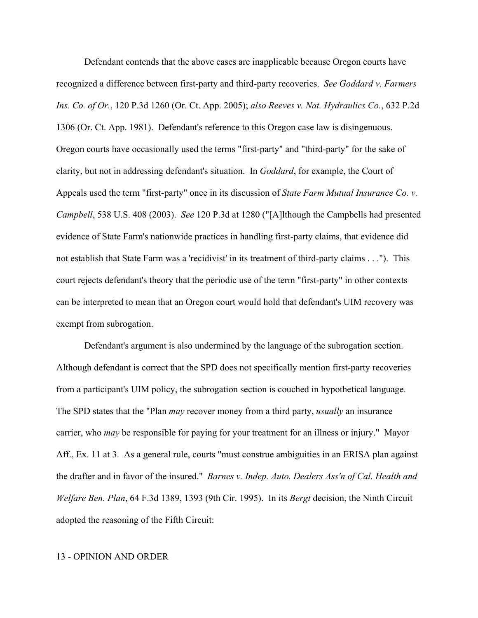Defendant contends that the above cases are inapplicable because Oregon courts have recognized a difference between first-party and third-party recoveries. *See Goddard v. Farmers Ins. Co. of Or.*, 120 P.3d 1260 (Or. Ct. App. 2005); *also Reeves v. Nat. Hydraulics Co.*, 632 P.2d 1306 (Or. Ct. App. 1981). Defendant's reference to this Oregon case law is disingenuous. Oregon courts have occasionally used the terms "first-party" and "third-party" for the sake of clarity, but not in addressing defendant's situation. In *Goddard*, for example, the Court of Appeals used the term "first-party" once in its discussion of *State Farm Mutual Insurance Co. v. Campbell*, 538 U.S. 408 (2003). *See* 120 P.3d at 1280 ("[A]lthough the Campbells had presented evidence of State Farm's nationwide practices in handling first-party claims, that evidence did not establish that State Farm was a 'recidivist' in its treatment of third-party claims . . ."). This court rejects defendant's theory that the periodic use of the term "first-party" in other contexts can be interpreted to mean that an Oregon court would hold that defendant's UIM recovery was exempt from subrogation.

Defendant's argument is also undermined by the language of the subrogation section. Although defendant is correct that the SPD does not specifically mention first-party recoveries from a participant's UIM policy, the subrogation section is couched in hypothetical language. The SPD states that the "Plan *may* recover money from a third party, *usually* an insurance carrier, who *may* be responsible for paying for your treatment for an illness or injury." Mayor Aff., Ex. 11 at 3. As a general rule, courts "must construe ambiguities in an ERISA plan against the drafter and in favor of the insured." *Barnes v. Indep. Auto. Dealers Ass'n of Cal. Health and Welfare Ben. Plan*, 64 F.3d 1389, 1393 (9th Cir. 1995). In its *Bergt* decision, the Ninth Circuit adopted the reasoning of the Fifth Circuit: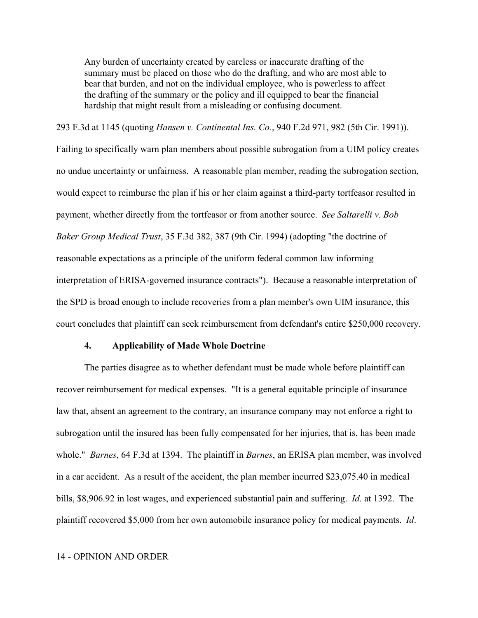Any burden of uncertainty created by careless or inaccurate drafting of the summary must be placed on those who do the drafting, and who are most able to bear that burden, and not on the individual employee, who is powerless to affect the drafting of the summary or the policy and ill equipped to bear the financial hardship that might result from a misleading or confusing document.

293 F.3d at 1145 (quoting *Hansen v. Continental Ins. Co.*, 940 F.2d 971, 982 (5th Cir. 1991)). Failing to specifically warn plan members about possible subrogation from a UIM policy creates no undue uncertainty or unfairness. A reasonable plan member, reading the subrogation section, would expect to reimburse the plan if his or her claim against a third-party tortfeasor resulted in payment, whether directly from the tortfeasor or from another source. *See Saltarelli v. Bob Baker Group Medical Trust*, 35 F.3d 382, 387 (9th Cir. 1994) (adopting "the doctrine of reasonable expectations as a principle of the uniform federal common law informing interpretation of ERISA-governed insurance contracts"). Because a reasonable interpretation of the SPD is broad enough to include recoveries from a plan member's own UIM insurance, this court concludes that plaintiff can seek reimbursement from defendant's entire \$250,000 recovery.

### **4. Applicability of Made Whole Doctrine**

The parties disagree as to whether defendant must be made whole before plaintiff can recover reimbursement for medical expenses. "It is a general equitable principle of insurance law that, absent an agreement to the contrary, an insurance company may not enforce a right to subrogation until the insured has been fully compensated for her injuries, that is, has been made whole." *Barnes*, 64 F.3d at 1394. The plaintiff in *Barnes*, an ERISA plan member, was involved in a car accident. As a result of the accident, the plan member incurred \$23,075.40 in medical bills, \$8,906.92 in lost wages, and experienced substantial pain and suffering. *Id*. at 1392. The plaintiff recovered \$5,000 from her own automobile insurance policy for medical payments. *Id*.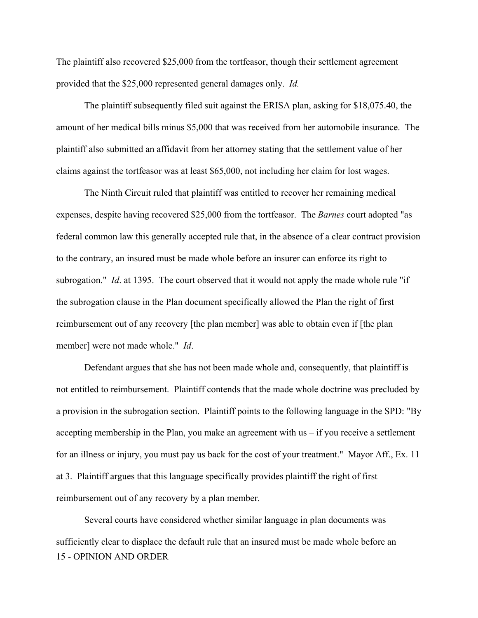The plaintiff also recovered \$25,000 from the tortfeasor, though their settlement agreement provided that the \$25,000 represented general damages only. *Id.*

The plaintiff subsequently filed suit against the ERISA plan, asking for \$18,075.40, the amount of her medical bills minus \$5,000 that was received from her automobile insurance. The plaintiff also submitted an affidavit from her attorney stating that the settlement value of her claims against the tortfeasor was at least \$65,000, not including her claim for lost wages.

The Ninth Circuit ruled that plaintiff was entitled to recover her remaining medical expenses, despite having recovered \$25,000 from the tortfeasor. The *Barnes* court adopted "as federal common law this generally accepted rule that, in the absence of a clear contract provision to the contrary, an insured must be made whole before an insurer can enforce its right to subrogation." *Id*. at 1395. The court observed that it would not apply the made whole rule "if the subrogation clause in the Plan document specifically allowed the Plan the right of first reimbursement out of any recovery [the plan member] was able to obtain even if [the plan member] were not made whole." *Id*.

Defendant argues that she has not been made whole and, consequently, that plaintiff is not entitled to reimbursement. Plaintiff contends that the made whole doctrine was precluded by a provision in the subrogation section. Plaintiff points to the following language in the SPD: "By accepting membership in the Plan, you make an agreement with us – if you receive a settlement for an illness or injury, you must pay us back for the cost of your treatment." Mayor Aff., Ex. 11 at 3. Plaintiff argues that this language specifically provides plaintiff the right of first reimbursement out of any recovery by a plan member.

15 - OPINION AND ORDER Several courts have considered whether similar language in plan documents was sufficiently clear to displace the default rule that an insured must be made whole before an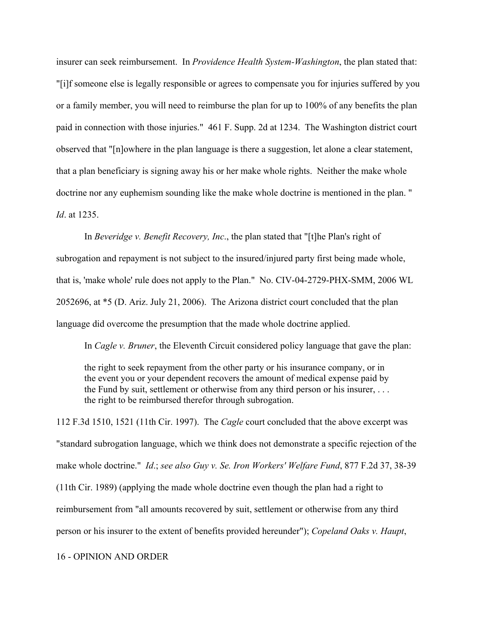insurer can seek reimbursement. In *Providence Health System-Washington*, the plan stated that: "[i]f someone else is legally responsible or agrees to compensate you for injuries suffered by you or a family member, you will need to reimburse the plan for up to 100% of any benefits the plan paid in connection with those injuries." 461 F. Supp. 2d at 1234. The Washington district court observed that "[n]owhere in the plan language is there a suggestion, let alone a clear statement, that a plan beneficiary is signing away his or her make whole rights. Neither the make whole doctrine nor any euphemism sounding like the make whole doctrine is mentioned in the plan. " *Id*. at 1235.

In *Beveridge v. Benefit Recovery, Inc*., the plan stated that "[t]he Plan's right of subrogation and repayment is not subject to the insured/injured party first being made whole, that is, 'make whole' rule does not apply to the Plan." No. CIV-04-2729-PHX-SMM, 2006 WL 2052696, at \*5 (D. Ariz. July 21, 2006). The Arizona district court concluded that the plan language did overcome the presumption that the made whole doctrine applied.

In *Cagle v. Bruner*, the Eleventh Circuit considered policy language that gave the plan:

the right to seek repayment from the other party or his insurance company, or in the event you or your dependent recovers the amount of medical expense paid by the Fund by suit, settlement or otherwise from any third person or his insurer, . . . the right to be reimbursed therefor through subrogation.

112 F.3d 1510, 1521 (11th Cir. 1997). The *Cagle* court concluded that the above excerpt was "standard subrogation language, which we think does not demonstrate a specific rejection of the make whole doctrine." *Id*.; *see also Guy v. Se. Iron Workers' Welfare Fund*, 877 F.2d 37, 38-39 (11th Cir. 1989) (applying the made whole doctrine even though the plan had a right to reimbursement from "all amounts recovered by suit, settlement or otherwise from any third person or his insurer to the extent of benefits provided hereunder"); *Copeland Oaks v. Haupt*,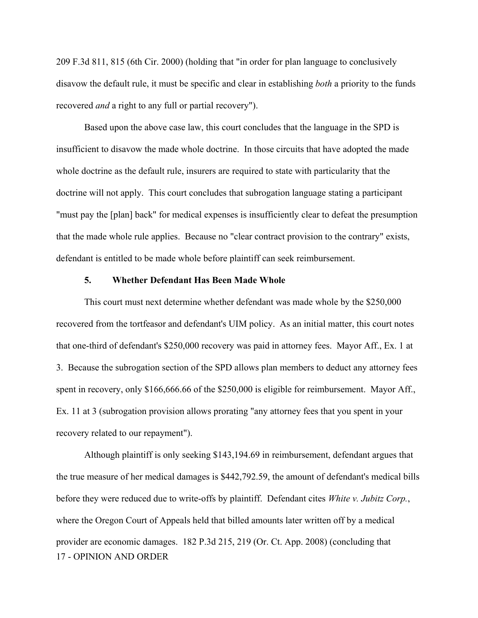209 F.3d 811, 815 (6th Cir. 2000) (holding that "in order for plan language to conclusively disavow the default rule, it must be specific and clear in establishing *both* a priority to the funds recovered *and* a right to any full or partial recovery").

Based upon the above case law, this court concludes that the language in the SPD is insufficient to disavow the made whole doctrine. In those circuits that have adopted the made whole doctrine as the default rule, insurers are required to state with particularity that the doctrine will not apply. This court concludes that subrogation language stating a participant "must pay the [plan] back" for medical expenses is insufficiently clear to defeat the presumption that the made whole rule applies. Because no "clear contract provision to the contrary" exists, defendant is entitled to be made whole before plaintiff can seek reimbursement.

## **5. Whether Defendant Has Been Made Whole**

This court must next determine whether defendant was made whole by the \$250,000 recovered from the tortfeasor and defendant's UIM policy. As an initial matter, this court notes that one-third of defendant's \$250,000 recovery was paid in attorney fees. Mayor Aff., Ex. 1 at 3. Because the subrogation section of the SPD allows plan members to deduct any attorney fees spent in recovery, only \$166,666.66 of the \$250,000 is eligible for reimbursement. Mayor Aff., Ex. 11 at 3 (subrogation provision allows prorating "any attorney fees that you spent in your recovery related to our repayment").

17 - OPINION AND ORDER Although plaintiff is only seeking \$143,194.69 in reimbursement, defendant argues that the true measure of her medical damages is \$442,792.59, the amount of defendant's medical bills before they were reduced due to write-offs by plaintiff. Defendant cites *White v. Jubitz Corp.*, where the Oregon Court of Appeals held that billed amounts later written off by a medical provider are economic damages. 182 P.3d 215, 219 (Or. Ct. App. 2008) (concluding that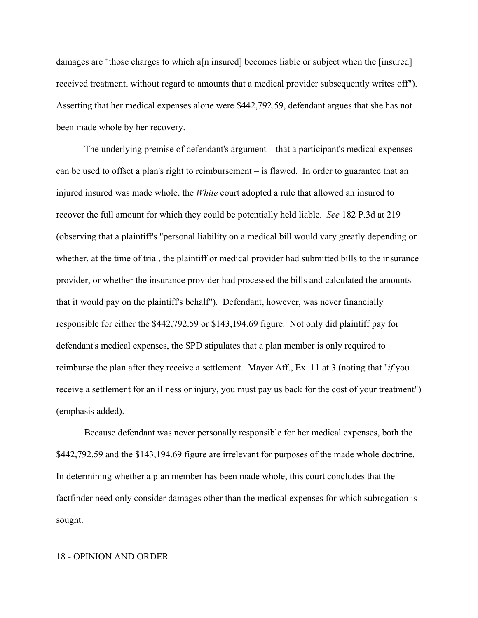damages are "those charges to which a[n insured] becomes liable or subject when the [insured] received treatment, without regard to amounts that a medical provider subsequently writes off"). Asserting that her medical expenses alone were \$442,792.59, defendant argues that she has not been made whole by her recovery.

The underlying premise of defendant's argument – that a participant's medical expenses can be used to offset a plan's right to reimbursement – is flawed. In order to guarantee that an injured insured was made whole, the *White* court adopted a rule that allowed an insured to recover the full amount for which they could be potentially held liable. *See* 182 P.3d at 219 (observing that a plaintiff's "personal liability on a medical bill would vary greatly depending on whether, at the time of trial, the plaintiff or medical provider had submitted bills to the insurance provider, or whether the insurance provider had processed the bills and calculated the amounts that it would pay on the plaintiff's behalf"). Defendant, however, was never financially responsible for either the \$442,792.59 or \$143,194.69 figure. Not only did plaintiff pay for defendant's medical expenses, the SPD stipulates that a plan member is only required to reimburse the plan after they receive a settlement. Mayor Aff., Ex. 11 at 3 (noting that "*if* you receive a settlement for an illness or injury, you must pay us back for the cost of your treatment") (emphasis added).

Because defendant was never personally responsible for her medical expenses, both the \$442,792.59 and the \$143,194.69 figure are irrelevant for purposes of the made whole doctrine. In determining whether a plan member has been made whole, this court concludes that the factfinder need only consider damages other than the medical expenses for which subrogation is sought.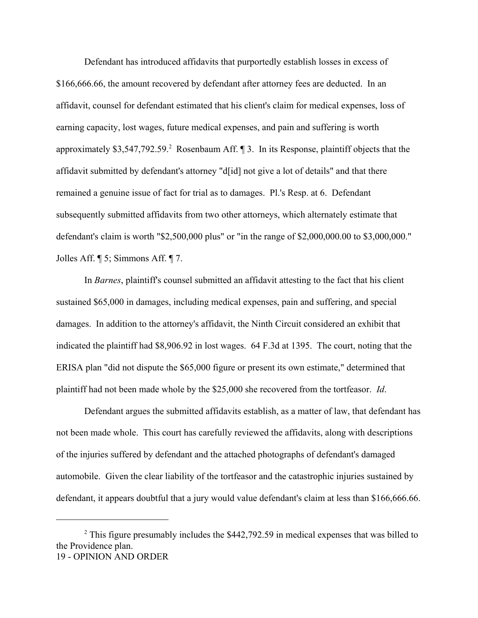Defendant has introduced affidavits that purportedly establish losses in excess of \$166,666.66, the amount recovered by defendant after attorney fees are deducted. In an affidavit, counsel for defendant estimated that his client's claim for medical expenses, loss of earning capacity, lost wages, future medical expenses, and pain and suffering is worth approximately \$3,547,792.59.<sup>2</sup> Rosenbaum Aff.  $\parallel$  3. In its Response, plaintiff objects that the affidavit submitted by defendant's attorney "d[id] not give a lot of details" and that there remained a genuine issue of fact for trial as to damages. Pl.'s Resp. at 6. Defendant subsequently submitted affidavits from two other attorneys, which alternately estimate that defendant's claim is worth "\$2,500,000 plus" or "in the range of \$2,000,000.00 to \$3,000,000." Jolles Aff. ¶ 5; Simmons Aff. ¶ 7.

In *Barnes*, plaintiff's counsel submitted an affidavit attesting to the fact that his client sustained \$65,000 in damages, including medical expenses, pain and suffering, and special damages. In addition to the attorney's affidavit, the Ninth Circuit considered an exhibit that indicated the plaintiff had \$8,906.92 in lost wages. 64 F.3d at 1395. The court, noting that the ERISA plan "did not dispute the \$65,000 figure or present its own estimate," determined that plaintiff had not been made whole by the \$25,000 she recovered from the tortfeasor. *Id*.

Defendant argues the submitted affidavits establish, as a matter of law, that defendant has not been made whole. This court has carefully reviewed the affidavits, along with descriptions of the injuries suffered by defendant and the attached photographs of defendant's damaged automobile. Given the clear liability of the tortfeasor and the catastrophic injuries sustained by defendant, it appears doubtful that a jury would value defendant's claim at less than \$166,666.66.

 $2$  This figure presumably includes the \$442,792.59 in medical expenses that was billed to the Providence plan. 19 - OPINION AND ORDER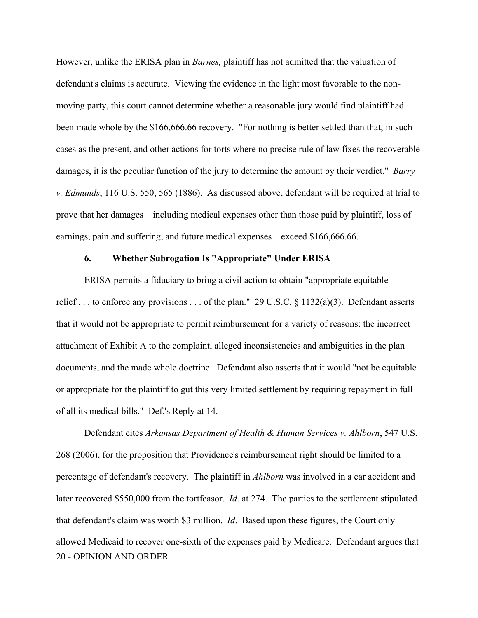However, unlike the ERISA plan in *Barnes,* plaintiff has not admitted that the valuation of defendant's claims is accurate. Viewing the evidence in the light most favorable to the nonmoving party, this court cannot determine whether a reasonable jury would find plaintiff had been made whole by the \$166,666.66 recovery. "For nothing is better settled than that, in such cases as the present, and other actions for torts where no precise rule of law fixes the recoverable damages, it is the peculiar function of the jury to determine the amount by their verdict." *Barry v. Edmunds*, 116 U.S. 550, 565 (1886). As discussed above, defendant will be required at trial to prove that her damages – including medical expenses other than those paid by plaintiff, loss of earnings, pain and suffering, and future medical expenses – exceed \$166,666.66.

## **6. Whether Subrogation Is "Appropriate" Under ERISA**

ERISA permits a fiduciary to bring a civil action to obtain "appropriate equitable relief . . . to enforce any provisions . . . of the plan." 29 U.S.C. § 1132(a)(3). Defendant asserts that it would not be appropriate to permit reimbursement for a variety of reasons: the incorrect attachment of Exhibit A to the complaint, alleged inconsistencies and ambiguities in the plan documents, and the made whole doctrine. Defendant also asserts that it would "not be equitable or appropriate for the plaintiff to gut this very limited settlement by requiring repayment in full of all its medical bills." Def.'s Reply at 14.

20 - OPINION AND ORDER Defendant cites *Arkansas Department of Health & Human Services v. Ahlborn*, 547 U.S. 268 (2006), for the proposition that Providence's reimbursement right should be limited to a percentage of defendant's recovery. The plaintiff in *Ahlborn* was involved in a car accident and later recovered \$550,000 from the tortfeasor. *Id*. at 274. The parties to the settlement stipulated that defendant's claim was worth \$3 million. *Id*. Based upon these figures, the Court only allowed Medicaid to recover one-sixth of the expenses paid by Medicare. Defendant argues that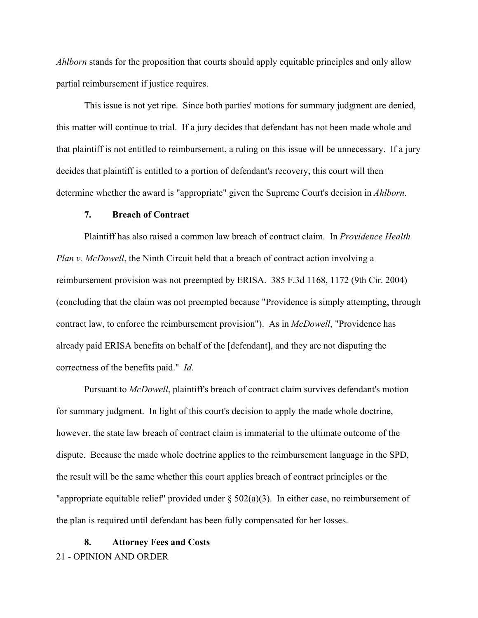*Ahlborn* stands for the proposition that courts should apply equitable principles and only allow partial reimbursement if justice requires.

This issue is not yet ripe. Since both parties' motions for summary judgment are denied, this matter will continue to trial. If a jury decides that defendant has not been made whole and that plaintiff is not entitled to reimbursement, a ruling on this issue will be unnecessary. If a jury decides that plaintiff is entitled to a portion of defendant's recovery, this court will then determine whether the award is "appropriate" given the Supreme Court's decision in *Ahlborn*.

## **7. Breach of Contract**

Plaintiff has also raised a common law breach of contract claim. In *Providence Health Plan v. McDowell*, the Ninth Circuit held that a breach of contract action involving a reimbursement provision was not preempted by ERISA. 385 F.3d 1168, 1172 (9th Cir. 2004) (concluding that the claim was not preempted because "Providence is simply attempting, through contract law, to enforce the reimbursement provision"). As in *McDowell*, "Providence has already paid ERISA benefits on behalf of the [defendant], and they are not disputing the correctness of the benefits paid." *Id*.

Pursuant to *McDowell*, plaintiff's breach of contract claim survives defendant's motion for summary judgment. In light of this court's decision to apply the made whole doctrine, however, the state law breach of contract claim is immaterial to the ultimate outcome of the dispute. Because the made whole doctrine applies to the reimbursement language in the SPD, the result will be the same whether this court applies breach of contract principles or the "appropriate equitable relief" provided under  $\S 502(a)(3)$ . In either case, no reimbursement of the plan is required until defendant has been fully compensated for her losses.

## 21 - OPINION AND ORDER **8. Attorney Fees and Costs**